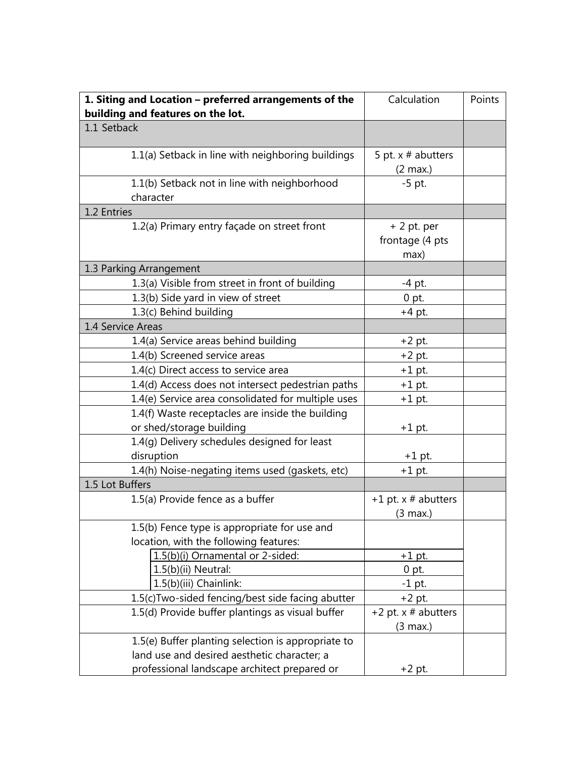| 1. Siting and Location - preferred arrangements of the<br>building and features on the lot. | Calculation                                  | Points |
|---------------------------------------------------------------------------------------------|----------------------------------------------|--------|
| 1.1 Setback                                                                                 |                                              |        |
| 1.1(a) Setback in line with neighboring buildings                                           | 5 pt. $x \#$ abutters<br>$(2 \text{ max.})$  |        |
| 1.1(b) Setback not in line with neighborhood<br>character                                   | $-5$ pt.                                     |        |
| 1.2 Entries                                                                                 |                                              |        |
| 1.2(a) Primary entry façade on street front                                                 | $+2$ pt. per<br>frontage (4 pts<br>max)      |        |
| 1.3 Parking Arrangement                                                                     |                                              |        |
| 1.3(a) Visible from street in front of building                                             | -4 pt.                                       |        |
| 1.3(b) Side yard in view of street                                                          | $0$ pt.                                      |        |
| 1.3(c) Behind building                                                                      | $+4$ pt.                                     |        |
| 1.4 Service Areas                                                                           |                                              |        |
| 1.4(a) Service areas behind building                                                        | $+2$ pt.                                     |        |
| 1.4(b) Screened service areas                                                               | $+2$ pt.                                     |        |
| 1.4(c) Direct access to service area                                                        | $+1$ pt.                                     |        |
| 1.4(d) Access does not intersect pedestrian paths                                           | $+1$ pt.                                     |        |
| 1.4(e) Service area consolidated for multiple uses                                          | $+1$ pt.                                     |        |
| 1.4(f) Waste receptacles are inside the building                                            |                                              |        |
| or shed/storage building                                                                    | $+1$ pt.                                     |        |
| 1.4(g) Delivery schedules designed for least                                                |                                              |        |
| disruption                                                                                  | $+1$ pt.                                     |        |
| 1.4(h) Noise-negating items used (gaskets, etc)                                             | $+1$ pt.                                     |        |
| 1.5 Lot Buffers                                                                             |                                              |        |
| 1.5(a) Provide fence as a buffer                                                            | +1 pt. $x \#$ abutters<br>(3 max.)           |        |
| 1.5(b) Fence type is appropriate for use and                                                |                                              |        |
| location, with the following features:                                                      |                                              |        |
| 1.5(b)(i) Ornamental or 2-sided:                                                            | $+1$ pt.                                     |        |
| 1.5(b)(ii) Neutral:                                                                         | $0$ pt.                                      |        |
| 1.5(b)(iii) Chainlink:                                                                      | $-1$ pt.                                     |        |
| 1.5(c) Two-sided fencing/best side facing abutter                                           | $+2$ pt.                                     |        |
| 1.5(d) Provide buffer plantings as visual buffer                                            | +2 pt. $x \#$ abutters<br>$(3 \text{ max.})$ |        |
| 1.5(e) Buffer planting selection is appropriate to                                          |                                              |        |
| land use and desired aesthetic character; a                                                 |                                              |        |
| professional landscape architect prepared or                                                | $+2$ pt.                                     |        |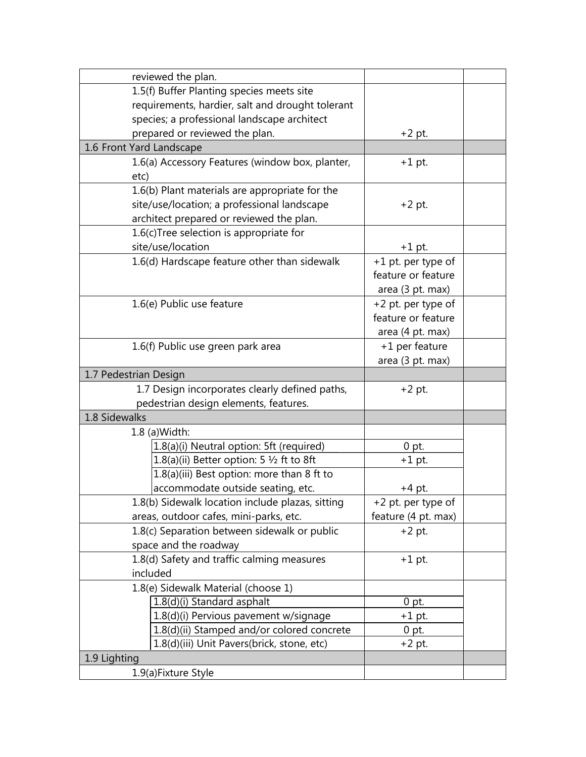| reviewed the plan.                                  |                     |  |
|-----------------------------------------------------|---------------------|--|
| 1.5(f) Buffer Planting species meets site           |                     |  |
| requirements, hardier, salt and drought tolerant    |                     |  |
| species; a professional landscape architect         |                     |  |
| prepared or reviewed the plan.                      | $+2$ pt.            |  |
| 1.6 Front Yard Landscape                            |                     |  |
| 1.6(a) Accessory Features (window box, planter,     | $+1$ pt.            |  |
| etc)                                                |                     |  |
| 1.6(b) Plant materials are appropriate for the      |                     |  |
| site/use/location; a professional landscape         | $+2$ pt.            |  |
| architect prepared or reviewed the plan.            |                     |  |
| 1.6(c)Tree selection is appropriate for             |                     |  |
| site/use/location                                   | $+1$ pt.            |  |
| 1.6(d) Hardscape feature other than sidewalk        | +1 pt. per type of  |  |
|                                                     | feature or feature  |  |
|                                                     | area (3 pt. max)    |  |
| 1.6(e) Public use feature                           | +2 pt. per type of  |  |
|                                                     | feature or feature  |  |
|                                                     | area (4 pt. max)    |  |
| 1.6(f) Public use green park area                   | +1 per feature      |  |
|                                                     | area (3 pt. max)    |  |
| 1.7 Pedestrian Design                               |                     |  |
| 1.7 Design incorporates clearly defined paths,      | $+2$ pt.            |  |
| pedestrian design elements, features.               |                     |  |
| 1.8 Sidewalks                                       |                     |  |
| 1.8 (a) Width:                                      |                     |  |
| 1.8(a)(i) Neutral option: 5ft (required)            | $0$ pt.             |  |
| 1.8(a)(ii) Better option: 5 $\frac{1}{2}$ ft to 8ft | $+1$ pt.            |  |
| 1.8(a)(iii) Best option: more than 8 ft to          |                     |  |
| accommodate outside seating, etc.                   | +4 pt.              |  |
| 1.8(b) Sidewalk location include plazas, sitting    | +2 pt. per type of  |  |
| areas, outdoor cafes, mini-parks, etc.              | feature (4 pt. max) |  |
| 1.8(c) Separation between sidewalk or public        | $+2$ pt.            |  |
| space and the roadway                               |                     |  |
| 1.8(d) Safety and traffic calming measures          | $+1$ pt.            |  |
| included                                            |                     |  |
| 1.8(e) Sidewalk Material (choose 1)                 |                     |  |
| 1.8(d)(i) Standard asphalt                          | $0$ pt.             |  |
| 1.8(d)(i) Pervious pavement w/signage               | $+1$ pt.            |  |
| 1.8(d)(ii) Stamped and/or colored concrete          | $0$ pt.             |  |
| 1.8(d)(iii) Unit Pavers(brick, stone, etc)          | $+2$ pt.            |  |
| 1.9 Lighting                                        |                     |  |
| 1.9(a) Fixture Style                                |                     |  |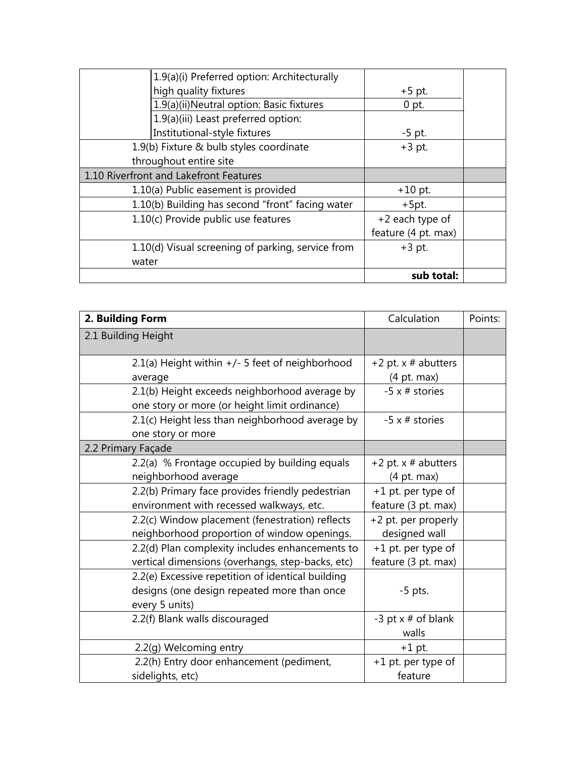|       | 1.9(a)(i) Preferred option: Architecturally       |                     |  |
|-------|---------------------------------------------------|---------------------|--|
|       | high quality fixtures                             | $+5$ pt.            |  |
|       | 1.9(a)(ii)Neutral option: Basic fixtures          | $0$ pt.             |  |
|       | 1.9(a)(iii) Least preferred option:               |                     |  |
|       | Institutional-style fixtures                      | $-5$ pt.            |  |
|       | 1.9(b) Fixture & bulb styles coordinate           | $+3$ pt.            |  |
|       | throughout entire site                            |                     |  |
|       | 1.10 Riverfront and Lakefront Features            |                     |  |
|       | 1.10(a) Public easement is provided               | $+10$ pt.           |  |
|       | 1.10(b) Building has second "front" facing water  | $+5pt.$             |  |
|       | 1.10(c) Provide public use features               | +2 each type of     |  |
|       |                                                   | feature (4 pt. max) |  |
|       | 1.10(d) Visual screening of parking, service from | $+3$ pt.            |  |
| water |                                                   |                     |  |
|       |                                                   | sub total:          |  |

| 2. Building Form                                                                                                   | Calculation                               | Points: |
|--------------------------------------------------------------------------------------------------------------------|-------------------------------------------|---------|
| 2.1 Building Height                                                                                                |                                           |         |
| 2.1(a) Height within $+/-$ 5 feet of neighborhood<br>average                                                       | +2 pt. $x \#$ abutters<br>(4 pt. max)     |         |
| 2.1(b) Height exceeds neighborhood average by<br>one story or more (or height limit ordinance)                     | $-5 \times #$ stories                     |         |
| 2.1(c) Height less than neighborhood average by<br>one story or more                                               | $-5 \times #$ stories                     |         |
| 2.2 Primary Façade                                                                                                 |                                           |         |
| 2.2(a) % Frontage occupied by building equals<br>neighborhood average                                              | +2 pt. $x \#$ abutters<br>(4 pt. max)     |         |
| 2.2(b) Primary face provides friendly pedestrian<br>environment with recessed walkways, etc.                       | +1 pt. per type of<br>feature (3 pt. max) |         |
| 2.2(c) Window placement (fenestration) reflects<br>neighborhood proportion of window openings.                     | +2 pt. per properly<br>designed wall      |         |
| 2.2(d) Plan complexity includes enhancements to<br>vertical dimensions (overhangs, step-backs, etc)                | +1 pt. per type of<br>feature (3 pt. max) |         |
| 2.2(e) Excessive repetition of identical building<br>designs (one design repeated more than once<br>every 5 units) | $-5$ pts.                                 |         |
| 2.2(f) Blank walls discouraged                                                                                     | -3 pt $x \neq 0$ blank<br>walls           |         |
| 2.2(g) Welcoming entry                                                                                             | $+1$ pt.                                  |         |
| 2.2(h) Entry door enhancement (pediment,<br>sidelights, etc)                                                       | +1 pt. per type of<br>feature             |         |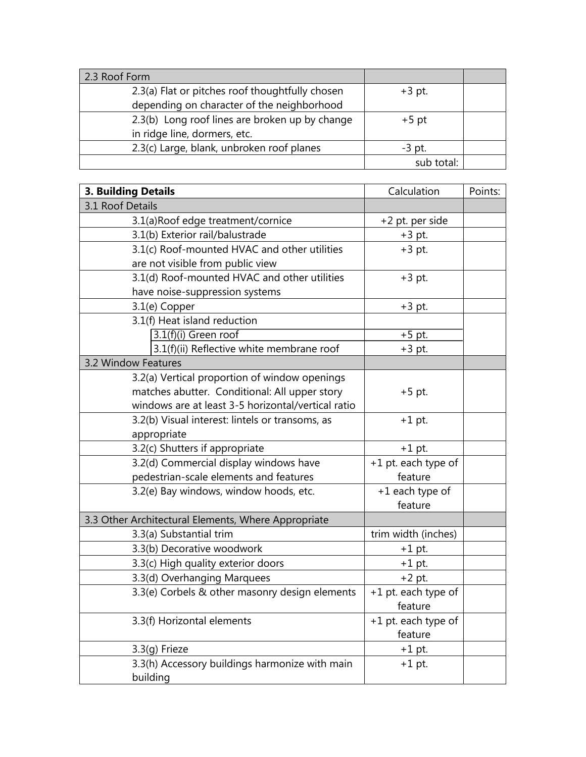| 2.3 Roof Form                                   |            |  |
|-------------------------------------------------|------------|--|
| 2.3(a) Flat or pitches roof thoughtfully chosen | $+3$ pt.   |  |
| depending on character of the neighborhood      |            |  |
| 2.3(b) Long roof lines are broken up by change  | $+5$ pt    |  |
| in ridge line, dormers, etc.                    |            |  |
| 2.3(c) Large, blank, unbroken roof planes       | $-3$ pt.   |  |
|                                                 | sub total: |  |

| <b>3. Building Details</b>                          | Calculation         | Points: |
|-----------------------------------------------------|---------------------|---------|
| 3.1 Roof Details                                    |                     |         |
| 3.1(a)Roof edge treatment/cornice                   | +2 pt. per side     |         |
| 3.1(b) Exterior rail/balustrade                     | $+3$ pt.            |         |
| 3.1(c) Roof-mounted HVAC and other utilities        | $+3$ pt.            |         |
| are not visible from public view                    |                     |         |
| 3.1(d) Roof-mounted HVAC and other utilities        | $+3$ pt.            |         |
| have noise-suppression systems                      |                     |         |
| 3.1(e) Copper                                       | $+3$ pt.            |         |
| 3.1(f) Heat island reduction                        |                     |         |
| 3.1(f)(i) Green roof                                | $+5$ pt.            |         |
| 3.1(f)(ii) Reflective white membrane roof           | $+3$ pt.            |         |
| 3.2 Window Features                                 |                     |         |
| 3.2(a) Vertical proportion of window openings       |                     |         |
| matches abutter. Conditional: All upper story       | $+5$ pt.            |         |
| windows are at least 3-5 horizontal/vertical ratio  |                     |         |
| 3.2(b) Visual interest: lintels or transoms, as     | $+1$ pt.            |         |
| appropriate                                         |                     |         |
| 3.2(c) Shutters if appropriate                      | $+1$ pt.            |         |
| 3.2(d) Commercial display windows have              | +1 pt. each type of |         |
| pedestrian-scale elements and features              | feature             |         |
| 3.2(e) Bay windows, window hoods, etc.              | +1 each type of     |         |
|                                                     | feature             |         |
| 3.3 Other Architectural Elements, Where Appropriate |                     |         |
| 3.3(a) Substantial trim                             | trim width (inches) |         |
| 3.3(b) Decorative woodwork                          | $+1$ pt.            |         |
| 3.3(c) High quality exterior doors                  | $+1$ pt.            |         |
| 3.3(d) Overhanging Marquees                         | $+2$ pt.            |         |
| 3.3(e) Corbels & other masonry design elements      | +1 pt. each type of |         |
|                                                     | feature             |         |
| 3.3(f) Horizontal elements                          | +1 pt. each type of |         |
|                                                     | feature             |         |
| $3.3(q)$ Frieze                                     | $+1$ pt.            |         |
| 3.3(h) Accessory buildings harmonize with main      | $+1$ pt.            |         |
| building                                            |                     |         |